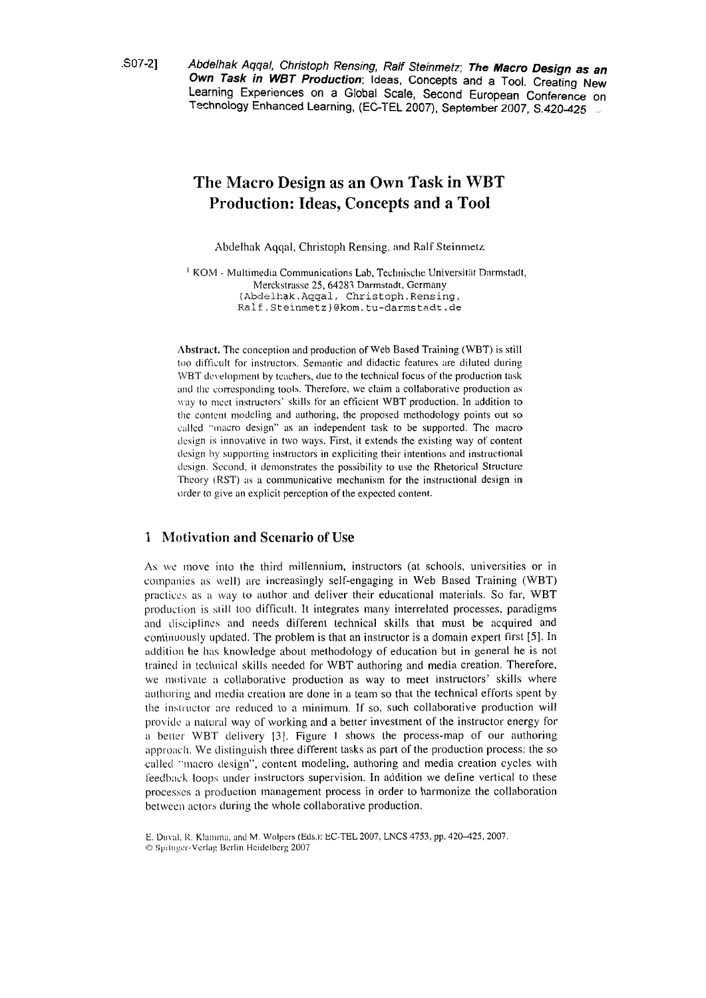:S07-21

Abdelhak Aqqal, Christoph Rensing, Ralf Steinmetz; The Macro Design as an Own Task in WBT Production; Ideas, Concepts and a Tool. Creating New Learning Experiences on a Global Scale, Second European Conference on Technology Enhanced Learning, (EC-TEL 2007), September 2007, S.420-425

# The Macro Design as an Own Task in WBT **Production: Ideas, Concepts and a Tool**

Abdelhak Aqqal, Christoph Rensing, and Ralf Steinmetz

KOM - Multimedia Communications Lab, Technische Universität Darmstadt, Merckstrasse 25, 64283 Darmstadt, Germany {Abdelhak.Aqqal, Christoph.Rensing, Ralf.Steinmetz}@kom.tu-darmstadt.de

Abstract. The conception and production of Web Based Training (WBT) is still too difficult for instructors. Semantic and didactic features are diluted during WBT development by teachers, due to the technical focus of the production task and the corresponding tools. Therefore, we claim a collaborative production as way to meet instructors' skills for an efficient WBT production. In addition to the content modeling and authoring, the proposed methodology points out so called "macro design" as an independent task to be supported. The macro design is innovative in two ways. First, it extends the existing way of content design by supporting instructors in expliciting their intentions and instructional design. Second, it demonstrates the possibility to use the Rhetorical Structure Theory (RST) as a communicative mechanism for the instructional design in order to give an explicit perception of the expected content.

## 1 Motivation and Scenario of Use

As we move into the third millennium, instructors (at schools, universities or in companies as well) are increasingly self-engaging in Web Based Training (WBT) practices as a way to author and deliver their educational materials. So far, WBT production is still too difficult. It integrates many interrelated processes, paradigms and disciplines and needs different technical skills that must be acquired and continuously updated. The problem is that an instructor is a domain expert first [5]. In addition he has knowledge about methodology of education but in general he is not trained in technical skills needed for WBT authoring and media creation. Therefore, we motivate a collaborative production as way to meet instructors' skills where authoring and media creation are done in a team so that the technical efforts spent by the instructor are reduced to a minimum. If so, such collaborative production will provide a natural way of working and a better investment of the instructor energy for a better WBT delivery [3]. Figure 1 shows the process-map of our authoring approach. We distinguish three different tasks as part of the production process: the so called "macro design", content modeling, authoring and media creation cycles with feedback loops under instructors supervision. In addition we define vertical to these processes a production management process in order to harmonize the collaboration between actors during the whole collaborative production.

E. Duval, R. Klamma, and M. Wolpers (Eds.): EC-TEL 2007, LNCS 4753, pp. 420-425, 2007.

<sup>©</sup> Springer-Verlag Berlin Heidelberg 2007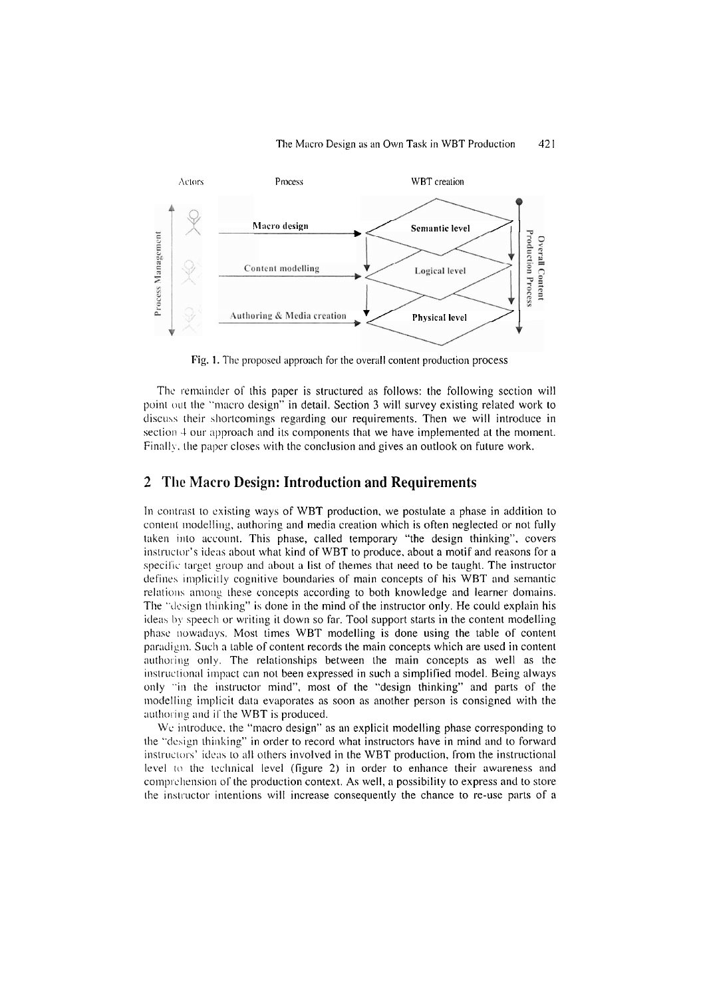

Fig. 1. The proposed approach for the overall content production process

The remainder of this paper is structured as follows: the following section will point out the "macro design" in detail. Section 3 will survey existing related work to discuss their shortcomings regarding our requirements. Then we will introduce in section  $4$  our approach and its components that we have implemented at the moment. Finally, the paper closes with the conclusion and gives an outlook on future work.

#### $\overline{2}$ The Macro Design: Introduction and Requirements

In contrast to existing ways of WBT production, we postulate a phase in addition to content modelling, authoring and media creation which is often neglected or not fully taken into account. This phase, called temporary "the design thinking", covers instructor's ideas about what kind of WBT to produce, about a motif and reasons for a specific target group and about a list of themes that need to be taught. The instructor defines implicitly cognitive boundaries of main concepts of his WBT and semantic relations among these concepts according to both knowledge and learner domains. The "design thinking" is done in the mind of the instructor only. He could explain his ideas by speech or writing it down so far. Tool support starts in the content modelling phase nowadays. Most times WBT modelling is done using the table of content paradigm. Such a table of content records the main concepts which are used in content authoring only. The relationships between the main concepts as well as the instructional impact can not been expressed in such a simplified model. Being always only "in the instructor mind", most of the "design thinking" and parts of the modelling implicit data evaporates as soon as another person is consigned with the authoring and if the WBT is produced.

We introduce, the "macro design" as an explicit modelling phase corresponding to the "design thinking" in order to record what instructors have in mind and to forward instructors' ideas to all others involved in the WBT production, from the instructional level to the technical level (figure 2) in order to enhance their awareness and comprehension of the production context. As well, a possibility to express and to store the instructor intentions will increase consequently the chance to re-use parts of a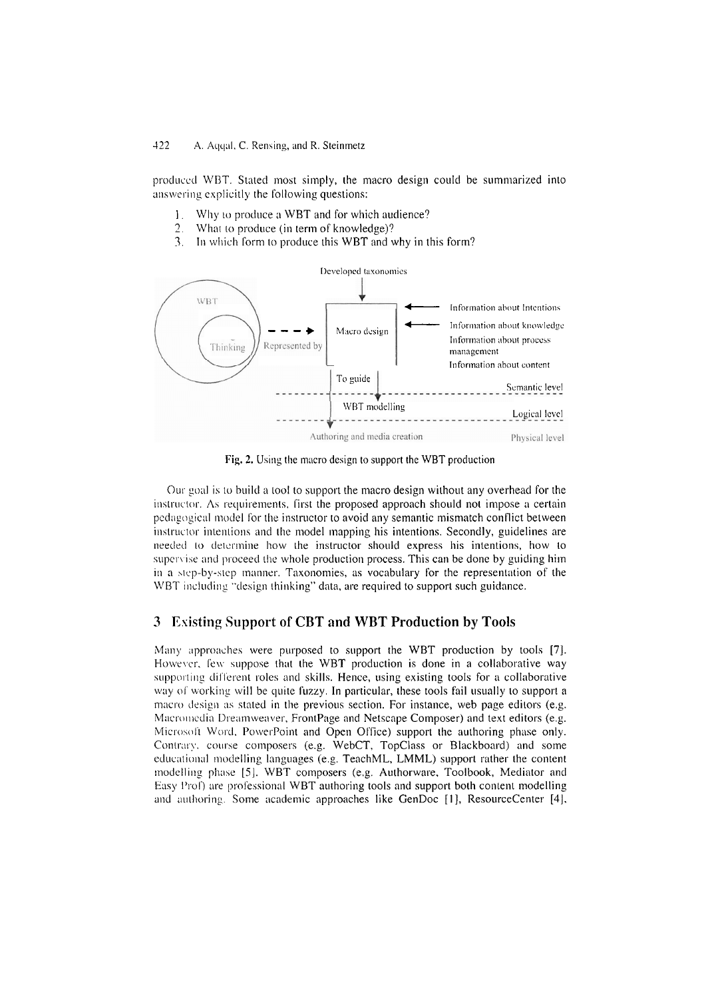#### 422 A. Aqqal, C. Rensing, and R. Steinmetz

produced WBT. Stated most simply, the macro design could be summarized into answering explicitly the following questions:

- Why to produce a WBT and for which audience?  $\mathbf{1}$
- $\overline{2}$ . What to produce (in term of knowledge)?
- $\mathcal{E}$ In which form to produce this WBT and why in this form?



Fig. 2. Using the macro design to support the WBT production

Our goal is to build a tool to support the macro design without any overhead for the instructor. As requirements, first the proposed approach should not impose a certain pedagogical model for the instructor to avoid any semantic mismatch conflict between instructor intentions and the model mapping his intentions. Secondly, guidelines are needed to determine how the instructor should express his intentions, how to supervise and proceed the whole production process. This can be done by guiding him in a step-by-step manner. Taxonomies, as vocabulary for the representation of the WBT including "design thinking" data, are required to support such guidance.

## 3 Existing Support of CBT and WBT Production by Tools

Many approaches were purposed to support the WBT production by tools [7]. However, few suppose that the WBT production is done in a collaborative way supporting different roles and skills. Hence, using existing tools for a collaborative way of working will be quite fuzzy. In particular, these tools fail usually to support a macro design as stated in the previous section. For instance, web page editors (e.g. Macromedia Dreamweaver, FrontPage and Netscape Composer) and text editors (e.g. Microsoft Word, PowerPoint and Open Office) support the authoring phase only. Contrary, course composers (e.g. WebCT, TopClass or Blackboard) and some educational modelling languages (e.g. TeachML, LMML) support rather the content modelling phase [5]. WBT composers (e.g. Authorware, Toolbook, Mediator and Easy Prof) are professional WBT authoring tools and support both content modelling and authoring. Some academic approaches like GenDoc [1], ResourceCenter [4],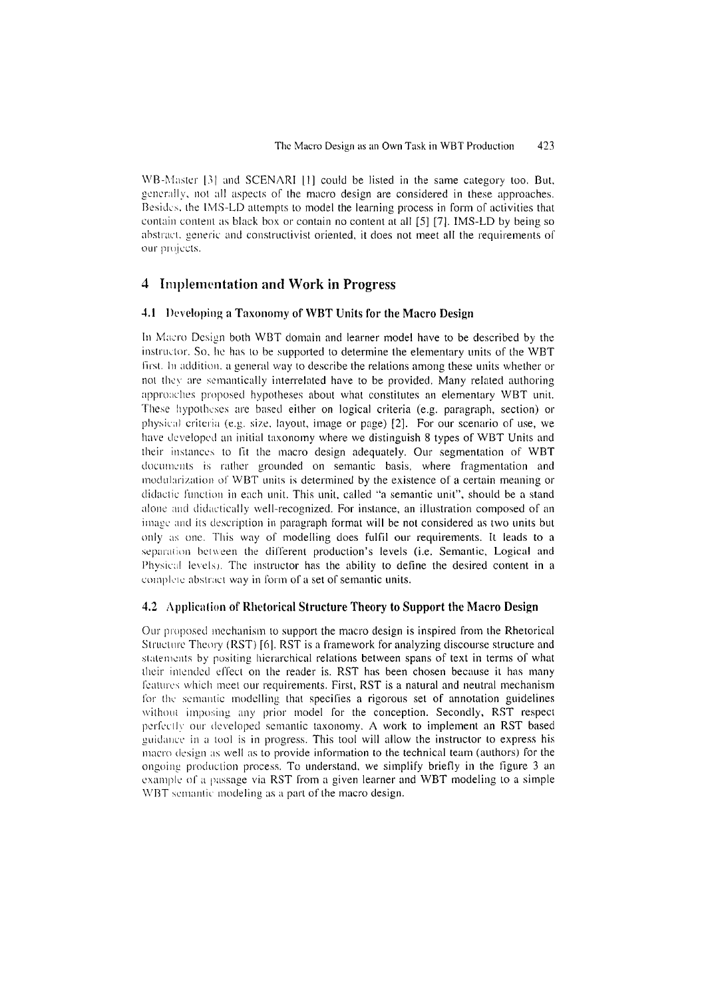WB-Master  $[3]$  and SCENARI  $[1]$  could be listed in the same category too. But, generally, not all aspects of the macro design are considered in these approaches. Besides, the IMS-LD attempts to model the learning process in form of activities that contain content as black box or contain no content at all [5] [7]. IMS-LD by being so abstract, generic and constructivist oriented, it does not meet all the requirements of our projects.

## 4 Implementation and Work in Progress

### 4.1 Developing a Taxonomy of WBT Units for the Macro Design

In Macro Design both WBT domain and learner model have to be described by the instructor. So, he has to be supported to determine the elementary units of the WBT first. In addition, a general way to describe the relations among these units whether or not they are semantically interrelated have to be provided. Many related authoring approaches proposed hypotheses about what constitutes an elementary WBT unit. These hypotheses are based either on logical criteria (e.g. paragraph, section) or physical criteria (e.g. size, layout, image or page) [2]. For our scenario of use, we have developed an initial taxonomy where we distinguish 8 types of WBT Units and their instances to fit the macro design adequately. Our segmentation of WBT documents is rather grounded on semantic basis, where fragmentation and modularization of WBT units is determined by the existence of a certain meaning or didactic function in each unit. This unit, called "a semantic unit", should be a stand alone and didactically well-recognized. For instance, an illustration composed of an image and its description in paragraph format will be not considered as two units but only as one. This way of modelling does fulfil our requirements. It leads to a separation between the different production's levels (i.e. Semantic, Logical and Physical levels). The instructor has the ability to define the desired content in a complete abstract way in form of a set of semantic units.

### 4.2 Application of Rhetorical Structure Theory to Support the Macro Design

Our proposed mechanism to support the macro design is inspired from the Rhetorical Structure Theory (RST) [6]. RST is a framework for analyzing discourse structure and statements by positing hierarchical relations between spans of text in terms of what their intended effect on the reader is. RST has been chosen because it has many features which meet our requirements. First, RST is a natural and neutral mechanism for the semantic modelling that specifies a rigorous set of annotation guidelines without imposing any prior model for the conception. Secondly, RST respect perfectly our developed semantic taxonomy. A work to implement an RST based guidance in a tool is in progress. This tool will allow the instructor to express his macro design as well as to provide information to the technical team (authors) for the ongoing production process. To understand, we simplify briefly in the figure 3 an example of a passage via RST from a given learner and WBT modeling to a simple WBT semantic modeling as a part of the macro design.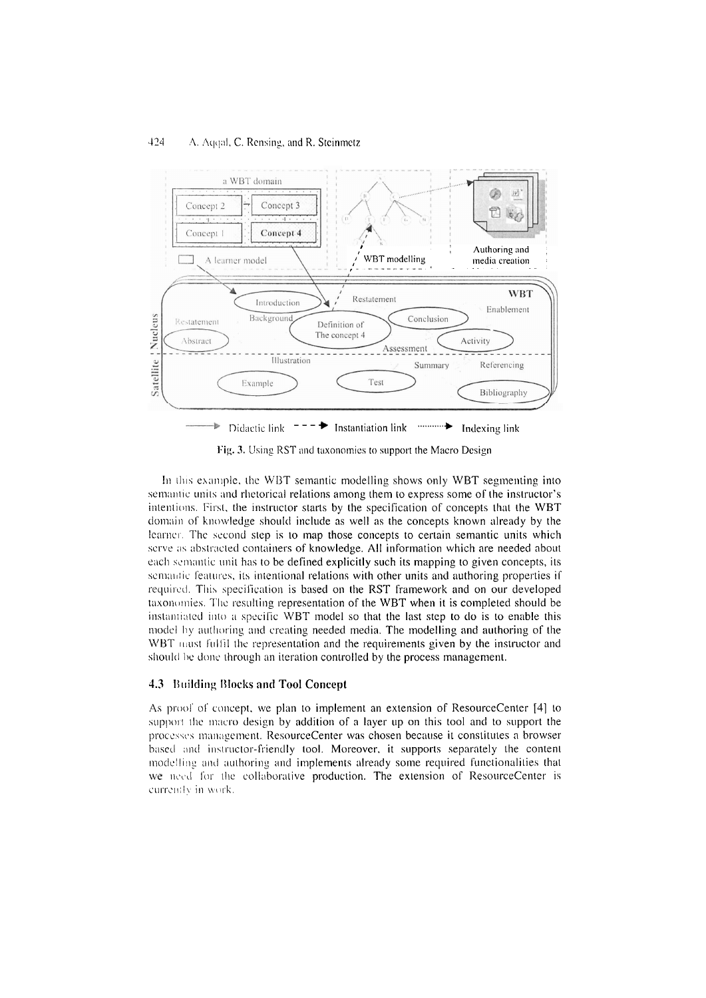#### 424 A. Aqqal, C. Rensing, and R. Steinmetz



Fig. 3. Using RST and taxonomies to support the Macro Design

In this example, the WBT semantic modelling shows only WBT segmenting into semantic units and rhetorical relations among them to express some of the instructor's intentions. First, the instructor starts by the specification of concepts that the WBT domain of knowledge should include as well as the concepts known already by the learner. The second step is to map those concepts to certain semantic units which serve as abstracted containers of knowledge. All information which are needed about each semantic unit has to be defined explicitly such its mapping to given concepts, its semantic features, its intentional relations with other units and authoring properties if required. This specification is based on the RST framework and on our developed taxonomies. The resulting representation of the WBT when it is completed should be instantiated into a specific WBT model so that the last step to do is to enable this model by authoring and creating needed media. The modelling and authoring of the WBT must fulfil the representation and the requirements given by the instructor and should be done through an iteration controlled by the process management.

### 4.3 Building Blocks and Tool Concept

As proof of concept, we plan to implement an extension of ResourceCenter [4] to support the macro design by addition of a layer up on this tool and to support the processes management. ResourceCenter was chosen because it constitutes a browser based and instructor-friendly tool. Moreover, it supports separately the content modelling and authoring and implements already some required functionalities that we need for the collaborative production. The extension of ResourceCenter is currently in work.